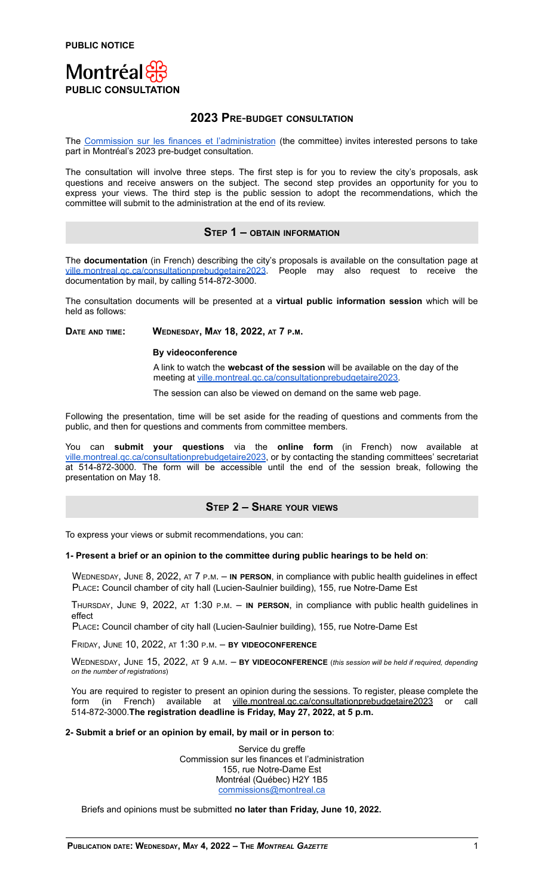

# **2023 PRE**-**BUDGET CONSULTATION**

The Commission sur les finances et [l'administration](https://montreal.ca/en/standing-committees/commission-sur-les-finances-et-ladministration) (the committee) invites interested persons to take part in Montréal's 2023 pre-budget consultation.

The consultation will involve three steps. The first step is for you to review the city's proposals, ask questions and receive answers on the subject. The second step provides an opportunity for you to express your views. The third step is the public session to adopt the recommendations, which the committee will submit to the administration at the end of its review.

## **STEP 1 – OBTAIN INFORMATION**

The **documentation** (in French) describing the city's proposals is available on the consultation page at [ville.montreal.qc.ca/consultationprebudgetaire2023](http://ville.montreal.qc.ca/portal/page?_pageid=6877,143535335&_dad=portal&_schema=PORTAL). People may also request to receive the documentation by mail, by calling 514-872-3000.

The consultation documents will be presented at a **virtual public information session** which will be held as follows:

**DATE AND TIME: WEDNESDAY, MAY 18, 2022, AT 7 P.M.**

### **By videoconference**

A link to watch the **webcast of the session** will be available on the day of the meeting at [ville.montreal.qc.ca/consultationprebudgetaire2023.](http://ville.montreal.qc.ca/portal/page?_pageid=6877,143535335&_dad=portal&_schema=PORTAL)

The session can also be viewed on demand on the same web page.

Following the presentation, time will be set aside for the reading of questions and comments from the public, and then for questions and comments from committee members.

You can **submit your questions** via the **online form** (in French) now available at [ville.montreal.qc.ca/consultationprebudgetaire2023](http://ville.montreal.qc.ca/portal/page?_pageid=6877,143535335&_dad=portal&_schema=PORTAL), or by contacting the standing committees' secretariat at 514-872-3000. The form will be accessible until the end of the session break, following the presentation on May 18.

## **STEP 2 – SHARE YOUR VIEWS**

To express your views or submit recommendations, you can:

### **1- Present a brief or an opinion to the committee during public hearings to be held on**:

WEDNESDAY, JUNE 8, 2022, AT 7 <sup>P</sup>.M. – **IN PERSON**, in compliance with public health guidelines in effect PLACE**:** Council chamber of city hall (Lucien-Saulnier building), 155, rue Notre-Dame Est

THURSDAY, JUNE 9, 2022, AT 1:30 <sup>P</sup>.M. – **IN PERSON**, in compliance with public health guidelines in effect

PLACE**:** Council chamber of city hall (Lucien-Saulnier building), 155, rue Notre-Dame Est

FRIDAY, JUNE 10, 2022, AT 1:30 <sup>P</sup>.M. – **BY VIDEOCONFERENCE**

WEDNESDAY, JUNE 15, 2022, AT 9 <sup>A</sup>.M. – **BY VIDEOCONFERENCE** (*this session will be held if required, depending on the number of registrations*)

You are required to register to present an opinion during the sessions. To register, please complete the form (in French) available at ville.montreal.qc.ca/consultationprebudgetaire2023 or call 514-872-3000.**The registration deadline is Friday, May 27, 2022, at 5 p.m.**

### **2- Submit a brief or an opinion by email, by mail or in person to**:

Service du greffe Commission sur les finances et l'administration 155, rue Notre-Dame Est Montréal (Québec) H2Y 1B5 [commissions@montreal.ca](mailto:commissions@montreal.ca)

Briefs and opinions must be submitted **no later than Friday, June 10, 2022.**